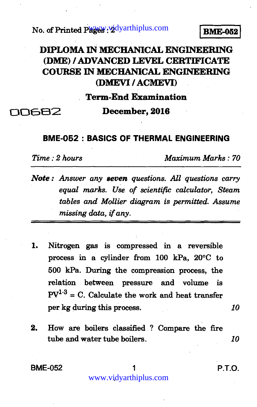No. of Printed Pages : 2<sup>dyarthiplus.com **BME-052**</sup>

## **DIPLOMA IN MECHANICAL ENGINEERING (DME) / ADVANCED LEVEL CERTIFICATE COURSE IN MECHANICAL ENGINEERING (DMEVI / ACMEVI)**

**Term-End Examination** 

closesz **December, 2016** 

## **BME-052 : BASICS OF THERMAL ENGINEERING**

*Time : 2 hours Maximum Marks : 70* 

- *Note : Answer any seven questions. All questions carry equal marks. Use of scientific calculator, Steam tables and Mollier diagram is permitted. Assume missing data, if any.*
- **1. Nitrogen gas is compressed in a reversible process in a cylinder from 100 kPa, 20°C to 500 kPa. During the compression process, the relation between pressure and volume is**   $PV^{1.3} = C$ . Calculate the work and heat transfer **per kg during this process.** *10*
- **2. How are boilers classified ? Compare the fire tube and water tube boilers.** *10*

**BME-052** 1 **P.T.O.** 

www.vidyarthiplus.com